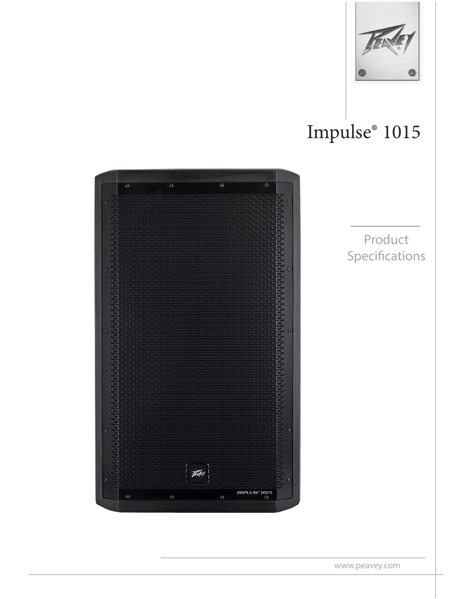

# Impulse® 1015



Product Specifications

www.peavey.com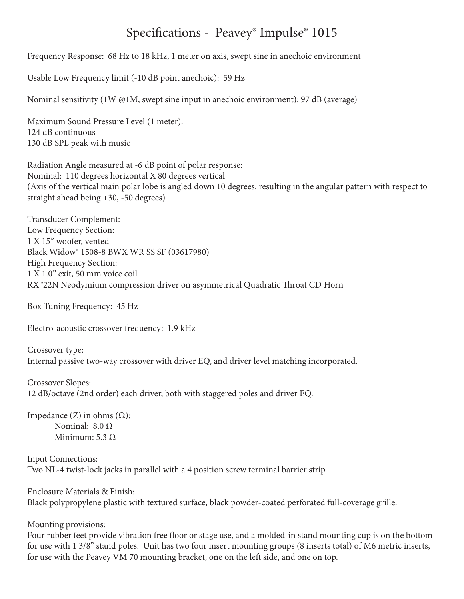### Specifications - Peavey® Impulse® 1015

Frequency Response: 68 Hz to 18 kHz, 1 meter on axis, swept sine in anechoic environment

Usable Low Frequency limit (-10 dB point anechoic): 59 Hz

Nominal sensitivity (1W @1M, swept sine input in anechoic environment): 97 dB (average)

Maximum Sound Pressure Level (1 meter): 124 dB continuous 130 dB SPL peak with music

Radiation Angle measured at -6 dB point of polar response: Nominal: 110 degrees horizontal X 80 degrees vertical (Axis of the vertical main polar lobe is angled down 10 degrees, resulting in the angular pattern with respect to straight ahead being +30, -50 degrees)

Transducer Complement: Low Frequency Section: 1 X 15" woofer, vented Black Widow® 1508-8 BWX WR SS SF (03617980) High Frequency Section: 1 X 1.0" exit, 50 mm voice coil RX™22N Neodymium compression driver on asymmetrical Quadratic Throat CD Horn

Box Tuning Frequency: 45 Hz

Electro-acoustic crossover frequency: 1.9 kHz

Crossover type: Internal passive two-way crossover with driver EQ, and driver level matching incorporated.

Crossover Slopes: 12 dB/octave (2nd order) each driver, both with staggered poles and driver EQ.

Impedance (Z) in ohms (Ω): Nominal: 8.0 Ω Minimum:  $5.3 \Omega$ 

Input Connections: Two NL-4 twist-lock jacks in parallel with a 4 position screw terminal barrier strip.

Enclosure Materials & Finish: Black polypropylene plastic with textured surface, black powder-coated perforated full-coverage grille.

Mounting provisions:

Four rubber feet provide vibration free floor or stage use, and a molded-in stand mounting cup is on the bottom for use with 1 3/8" stand poles. Unit has two four insert mounting groups (8 inserts total) of M6 metric inserts, for use with the Peavey VM 70 mounting bracket, one on the left side, and one on top.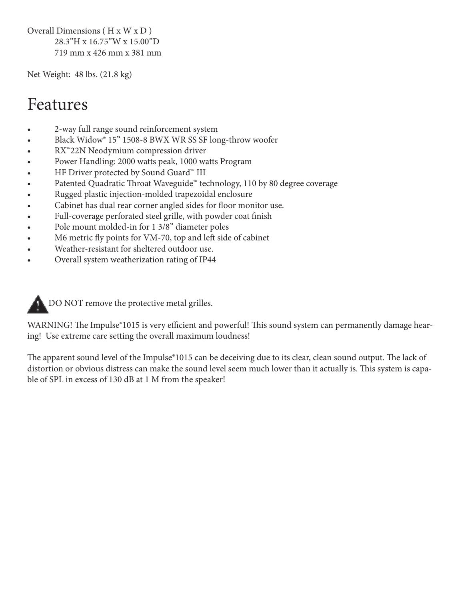Overall Dimensions ( H x W x D ) 28.3"H x 16.75"W x 15.00"D 719 mm x 426 mm x 381 mm

Net Weight: 48 lbs. (21.8 kg)

### Features

- 2-way full range sound reinforcement system
- Black Widow<sup>®</sup> 15<sup>°</sup> 1508-8 BWX WR SS SF long-throw woofer
- RX™22N Neodymium compression driver
- Power Handling: 2000 watts peak, 1000 watts Program
- HF Driver protected by Sound Guard™ III
- Patented Quadratic Throat Waveguide™ technology, 110 by 80 degree coverage
- Rugged plastic injection-molded trapezoidal enclosure
- Cabinet has dual rear corner angled sides for floor monitor use.
- Full-coverage perforated steel grille, with powder coat finish
- Pole mount molded-in for 1 3/8" diameter poles
- M6 metric fly points for VM-70, top and left side of cabinet
- Weather-resistant for sheltered outdoor use.
- Overall system weatherization rating of IP44



WARNING! The Impulse<sup>®</sup>1015 is very efficient and powerful! This sound system can permanently damage hearing! Use extreme care setting the overall maximum loudness!

The apparent sound level of the Impulse®1015 can be deceiving due to its clear, clean sound output. The lack of distortion or obvious distress can make the sound level seem much lower than it actually is. This system is capable of SPL in excess of 130 dB at 1 M from the speaker!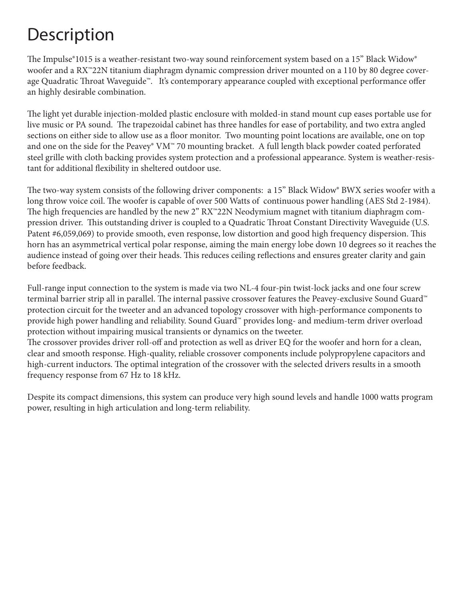### **Description**

The Impulse®1015 is a weather-resistant two-way sound reinforcement system based on a 15" Black Widow® woofer and a RX<sup>™</sup>22N titanium diaphragm dynamic compression driver mounted on a 110 by 80 degree coverage Quadratic Throat Waveguide™. It's contemporary appearance coupled with exceptional performance offer an highly desirable combination.

The light yet durable injection-molded plastic enclosure with molded-in stand mount cup eases portable use for live music or PA sound. The trapezoidal cabinet has three handles for ease of portability, and two extra angled sections on either side to allow use as a floor monitor. Two mounting point locations are available, one on top and one on the side for the Peavey® VM™ 70 mounting bracket. A full length black powder coated perforated steel grille with cloth backing provides system protection and a professional appearance. System is weather-resistant for additional flexibility in sheltered outdoor use.

The two-way system consists of the following driver components: a 15" Black Widow® BWX series woofer with a long throw voice coil. The woofer is capable of over 500 Watts of continuous power handling (AES Std 2-1984). The high frequencies are handled by the new 2" RX™22N Neodymium magnet with titanium diaphragm compression driver. This outstanding driver is coupled to a Quadratic Throat Constant Directivity Waveguide (U.S. Patent #6,059,069) to provide smooth, even response, low distortion and good high frequency dispersion. This horn has an asymmetrical vertical polar response, aiming the main energy lobe down 10 degrees so it reaches the audience instead of going over their heads. This reduces ceiling reflections and ensures greater clarity and gain before feedback.

Full-range input connection to the system is made via two NL-4 four-pin twist-lock jacks and one four screw terminal barrier strip all in parallel. The internal passive crossover features the Peavey-exclusive Sound Guard<sup>™</sup> protection circuit for the tweeter and an advanced topology crossover with high-performance components to provide high power handling and reliability. Sound Guard™ provides long- and medium-term driver overload protection without impairing musical transients or dynamics on the tweeter.

The crossover provides driver roll-off and protection as well as driver EQ for the woofer and horn for a clean, clear and smooth response. High-quality, reliable crossover components include polypropylene capacitors and high-current inductors. The optimal integration of the crossover with the selected drivers results in a smooth frequency response from 67 Hz to 18 kHz.

Despite its compact dimensions, this system can produce very high sound levels and handle 1000 watts program power, resulting in high articulation and long-term reliability.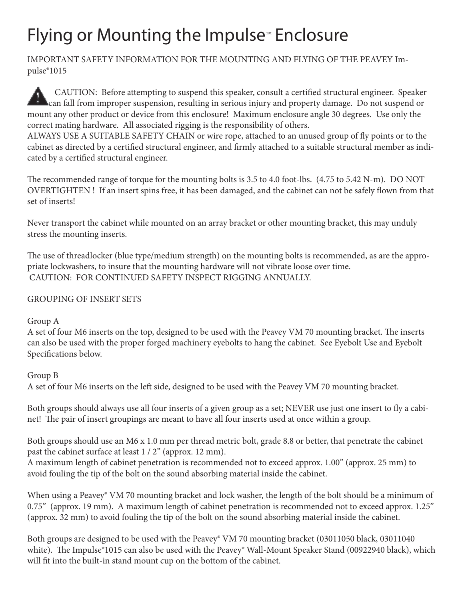## Flying or Mounting the Impulse™ Enclosure

IMPORTANT SAFETY INFORMATION FOR THE MOUNTING AND FLYING OF THE PEAVEY Impulse®1015

 CAUTION: Before attempting to suspend this speaker, consult a certified structural engineer. Speaker can fall from improper suspension, resulting in serious injury and property damage. Do not suspend or mount any other product or device from this enclosure! Maximum enclosure angle 30 degrees. Use only the correct mating hardware. All associated rigging is the responsibility of others.

ALWAYS USE A SUITABLE SAFETY CHAIN or wire rope, attached to an unused group of fly points or to the cabinet as directed by a certified structural engineer, and firmly attached to a suitable structural member as indicated by a certified structural engineer.

The recommended range of torque for the mounting bolts is 3.5 to 4.0 foot-lbs. (4.75 to 5.42 N-m). DO NOT OVERTIGHTEN ! If an insert spins free, it has been damaged, and the cabinet can not be safely flown from that set of inserts!

Never transport the cabinet while mounted on an array bracket or other mounting bracket, this may unduly stress the mounting inserts.

The use of threadlocker (blue type/medium strength) on the mounting bolts is recommended, as are the appropriate lockwashers, to insure that the mounting hardware will not vibrate loose over time. CAUTION: FOR CONTINUED SAFETY INSPECT RIGGING ANNUALLY.

#### GROUPING OF INSERT SETS

Group A

A set of four M6 inserts on the top, designed to be used with the Peavey VM 70 mounting bracket. The inserts can also be used with the proper forged machinery eyebolts to hang the cabinet. See Eyebolt Use and Eyebolt Specifications below.

#### Group B

A set of four M6 inserts on the left side, designed to be used with the Peavey VM 70 mounting bracket.

Both groups should always use all four inserts of a given group as a set; NEVER use just one insert to fly a cabinet! The pair of insert groupings are meant to have all four inserts used at once within a group.

Both groups should use an M6 x 1.0 mm per thread metric bolt, grade 8.8 or better, that penetrate the cabinet past the cabinet surface at least 1 / 2" (approx. 12 mm).

A maximum length of cabinet penetration is recommended not to exceed approx. 1.00" (approx. 25 mm) to avoid fouling the tip of the bolt on the sound absorbing material inside the cabinet.

When using a Peavey® VM 70 mounting bracket and lock washer, the length of the bolt should be a minimum of 0.75" (approx. 19 mm). A maximum length of cabinet penetration is recommended not to exceed approx. 1.25" (approx. 32 mm) to avoid fouling the tip of the bolt on the sound absorbing material inside the cabinet.

Both groups are designed to be used with the Peavey® VM 70 mounting bracket (03011050 black, 03011040 white). The Impulse®1015 can also be used with the Peavey® Wall-Mount Speaker Stand (00922940 black), which will fit into the built-in stand mount cup on the bottom of the cabinet.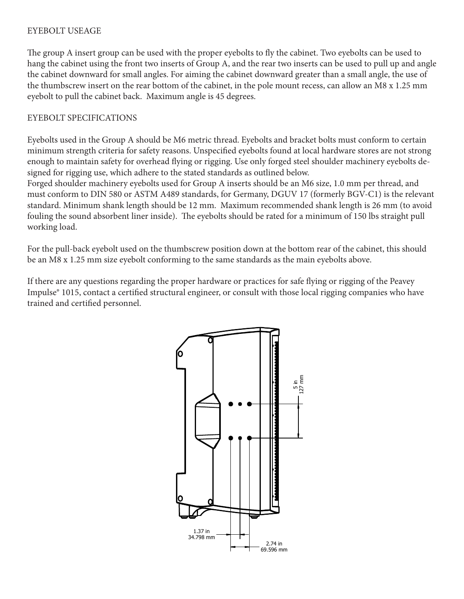#### EYEBOLT USEAGE

The group A insert group can be used with the proper eyebolts to fly the cabinet. Two eyebolts can be used to hang the cabinet using the front two inserts of Group A, and the rear two inserts can be used to pull up and angle the cabinet downward for small angles. For aiming the cabinet downward greater than a small angle, the use of the thumbscrew insert on the rear bottom of the cabinet, in the pole mount recess, can allow an M8 x 1.25 mm eyebolt to pull the cabinet back. Maximum angle is 45 degrees.

#### EYEBOLT SPECIFICATIONS

Eyebolts used in the Group A should be M6 metric thread. Eyebolts and bracket bolts must conform to certain minimum strength criteria for safety reasons. Unspecified eyebolts found at local hardware stores are not strong enough to maintain safety for overhead flying or rigging. Use only forged steel shoulder machinery eyebolts designed for rigging use, which adhere to the stated standards as outlined below.

Forged shoulder machinery eyebolts used for Group A inserts should be an M6 size, 1.0 mm per thread, and must conform to DIN 580 or ASTM A489 standards, for Germany, DGUV 17 (formerly BGV-C1) is the relevant standard. Minimum shank length should be 12 mm. Maximum recommended shank length is 26 mm (to avoid fouling the sound absorbent liner inside). The eyebolts should be rated for a minimum of 150 lbs straight pull working load.

For the pull-back eyebolt used on the thumbscrew position down at the bottom rear of the cabinet, this should be an M8 x 1.25 mm size eyebolt conforming to the same standards as the main eyebolts above.

If there are any questions regarding the proper hardware or practices for safe flying or rigging of the Peavey Impulse® 1015, contact a certified structural engineer, or consult with those local rigging companies who have trained and certified personnel.

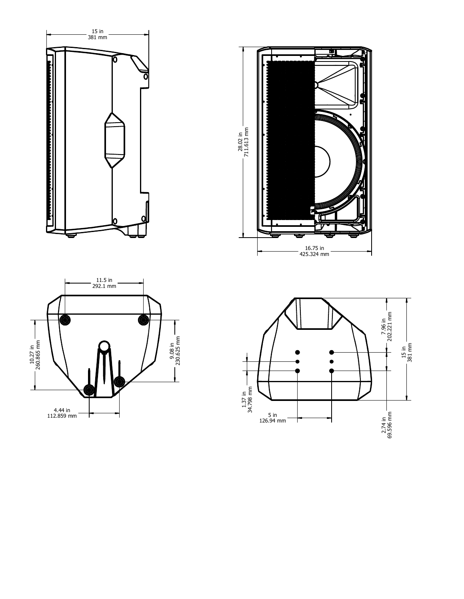